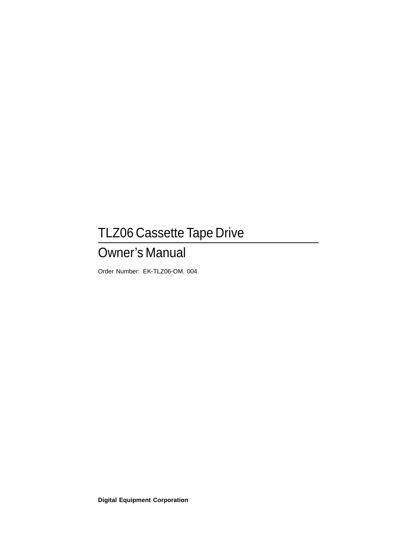# TLZ06 Cassette Tape Drive

# Owner's Manual

Order Number: EK-TLZ06-OM. 004

**Digital Equipment Corporation**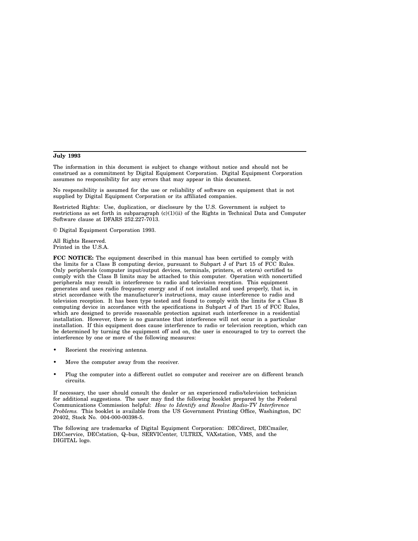#### **July 1993**

The information in this document is subject to change without notice and should not be construed as a commitment by Digital Equipment Corporation. Digital Equipment Corporation assumes no responsibility for any errors that may appear in this document.

No responsibility is assumed for the use or reliability of software on equipment that is not supplied by Digital Equipment Corporation or its affiliated companies.

Restricted Rights: Use, duplication, or disclosure by the U.S. Government is subject to restrictions as set forth in subparagraph  $(c)(1)(ii)$  of the Rights in Technical Data and Computer Software clause at DFARS 252.227-7013.

© Digital Equipment Corporation 1993.

All Rights Reserved. Printed in the U.S.A.

**FCC NOTICE:** The equipment described in this manual has been certified to comply with the limits for a Class B computing device, pursuant to Subpart J of Part 15 of FCC Rules. Only peripherals (computer input/output devices, terminals, printers, et cetera) certified to comply with the Class B limits may be attached to this computer. Operation with noncertified peripherals may result in interference to radio and television reception. This equipment generates and uses radio frequency energy and if not installed and used properly, that is, in strict accordance with the manufacturer's instructions, may cause interference to radio and television reception. It has been type tested and found to comply with the limits for a Class B computing device in accordance with the specifications in Subpart J of Part 15 of FCC Rules, which are designed to provide reasonable protection against such interference in a residential installation. However, there is no guarantee that interference will not occur in a particular installation. If this equipment does cause interference to radio or television reception, which can be determined by turning the equipment off and on, the user is encouraged to try to correct the interference by one or more of the following measures:

- Reorient the receiving antenna.
- Move the computer away from the receiver.
- Plug the computer into a different outlet so computer and receiver are on different branch circuits.

If necessary, the user should consult the dealer or an experienced radio/television technician for additional suggestions. The user may find the following booklet prepared by the Federal Communications Commission helpful: *How to Identify and Resolve Radio-TV Interference Problems.* This booklet is available from the US Government Printing Office, Washington, DC 20402, Stock No. 004-000-00398-5.

The following are trademarks of Digital Equipment Corporation: DECdirect, DECmailer, DECservice, DECstation, Q–bus, SERVICenter, ULTRIX, VAXstation, VMS, and the DIGITAL logo.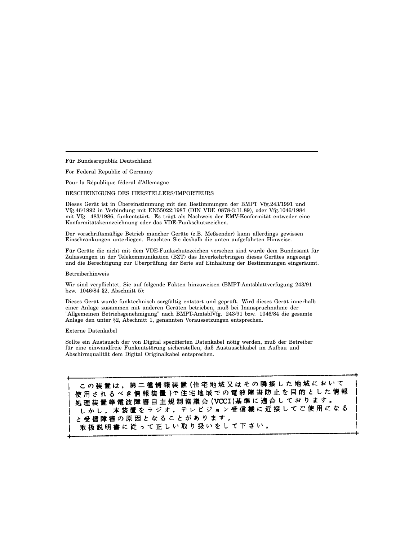Für Bundesrepublik Deutschland

For Federal Republic of Germany

Pour la République féderal d'Allemagne

BESCHEINIGUNG DES HERSTELLERS/IMPORTEURS

Dieses Gerät ist in Übereinstimmung mit den Bestimmungen der BMPT Vfg.243/1991 und Vfg.46/1992 in Verbindung mit EN55022:1987 (DIN VDE 0878-3:11.89), oder Vfg.1046/1984 mit Vfg. 483/1986, funkentstört. Es trägt als Nachweis der EMV-Konformität entweder eine Konformitätskennzeichnung oder das VDE-Funkschutzzeichen.

Der vorschriftsmäßige Betrieb mancher Geräte (z.B. Meßsender) kann allerdings gewissen Einschränkungen unterliegen. Beachten Sie deshalb die unten aufgeführten Hinweise.

Für Geräte die nicht mit dem VDE-Funkschutzzeichen versehen sind wurde dem Bundesamt für Zulassungen in der Telekommunikation (BZT) das Inverkehrbringen dieses Gerätes angezeigt und die Berechtigung zur Überprüfung der Serie auf Einhaltung der Bestimmungen eingeräumt.

#### Betreiberhinweis

Wir sind verpflichtet, Sie auf folgende Fakten hinzuweisen (BMPT-Amtsblattverfügung 243/91 bzw. 1046/84 §2, Abschnitt 5):

Dieses Gerät wurde funktechnisch sorgfältig entstört und geprüft. Wird dieses Gerät innerhalb einer Anlage zusammen mit anderen Geräten betrieben, muß bei Inanspruchnahme der "Allgemeinen Betriebsgenehmigung" nach BMPT-AmtsblVfg. 243/91 bzw. 1046/84 die gesamte Anlage den unter §2, Abschnitt 1, genannten Voraussetzungen entsprechen.

#### Externe Datenkabel

Sollte ein Austausch der von Digital spezifierten Datenkabel nötig werden, muß der Betreiber für eine einwandfreie Funkentstörung sicherstellen, daß Austauschkabel im Aufbau und Abschirmqualität dem Digital Originalkabel entsprechen.

この装置は、第二種情報装置(住宅地域又はその隣接した地域において 使用されるべき情報装置)で住宅地域での電波障害防止を目的とした情報 処理 装置 等 電 波 障 害 自 主 規 制 協 議 会 (VCCI)基 準 に 適 合 し て お り ま す 。 』は安置寺 はびは 自己 土 流 動 説 云 (1001) 富 寺 に 左 古 授 し て ご 使 用 に な る<br>し か し , 本 装 置 を ラ ジ オ , テ レ ビ ジ ョ ン 受 信 機 に 近 接 し て ご 使 用 に な る と受信障害の原因となることがあります。 取扱説明書に従って正しい取り扱いをして下さい。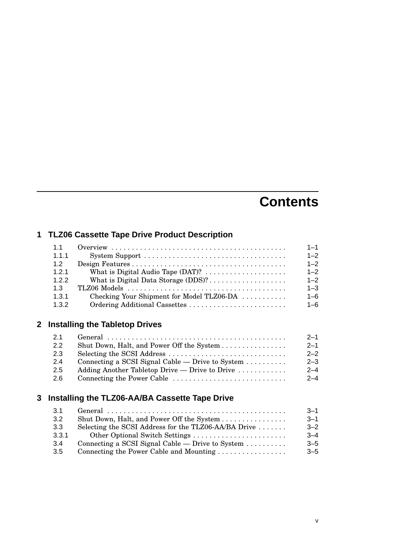# **Contents**

### **1 TLZ06 Cassette Tape Drive Product Description**

| 1.1   |                                                                  | $1 - 1$ |
|-------|------------------------------------------------------------------|---------|
| 1.1.1 |                                                                  | $1 - 2$ |
| 1.2   |                                                                  | $1 - 2$ |
| 1.2.1 |                                                                  | $1 - 2$ |
| 1.2.2 |                                                                  | $1 - 2$ |
| 1.3   |                                                                  | $1 - 3$ |
| 1.3.1 | Checking Your Shipment for Model TLZ06-DA $\ldots \ldots \ldots$ | $1 - 6$ |
| 1.3.2 |                                                                  | $1 - 6$ |

### **2 Installing the Tabletop Drives**

| 2.1           |                                                                       | $2 - 1$ |
|---------------|-----------------------------------------------------------------------|---------|
| $2.2^{\circ}$ | Shut Down, Halt, and Power Off the System                             | $2 - 1$ |
| 2.3           |                                                                       | $2 - 2$ |
| 2.4           | Connecting a SCSI Signal Cable — Drive to System $\dots \dots$        | $2 - 3$ |
| $2.5^{\circ}$ | Adding Another Tabletop Drive — Drive to Drive $\dots\dots\dots\dots$ | $2 - 4$ |
| 2.6           |                                                                       | $2 - 4$ |

### **3 Installing the TLZ06-AA/BA Cassette Tape Drive**

| 3.1              |                                                                    | $3 - 1$  |
|------------------|--------------------------------------------------------------------|----------|
| 3.2              | Shut Down, Halt, and Power Off the System                          | $-3 - 1$ |
| 3.3 <sub>2</sub> | Selecting the SCSI Address for the TLZ06-AA/BA Drive $\dots \dots$ | $3 - 2$  |
| 3.3.1            |                                                                    | $3 - 4$  |
| 3.4              | Connecting a SCSI Signal Cable — Drive to System $\dots \dots$     | $-5$     |
| 3.5              |                                                                    | $3 - 5$  |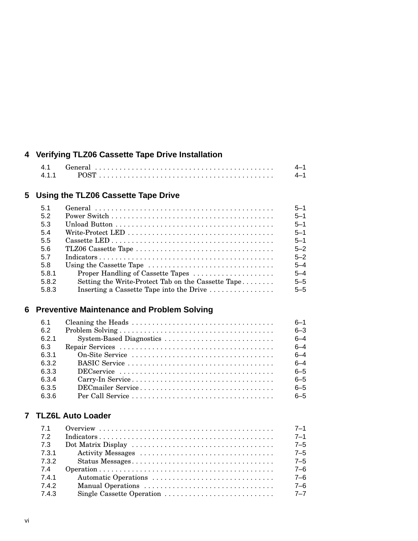### **4 Verifying TLZ06 Cassette Tape Drive Installation**

### **5 Using the TLZ06 Cassette Tape Drive**

|                                                                    | $5 - 1$ |
|--------------------------------------------------------------------|---------|
|                                                                    | $5 - 1$ |
|                                                                    | $5 - 1$ |
|                                                                    | $5 - 1$ |
|                                                                    | $5 - 1$ |
|                                                                    | $5 - 2$ |
|                                                                    | $5 - 2$ |
| Using the Cassette Tape                                            | $5 - 4$ |
| Proper Handling of Cassette Tapes                                  | $5 - 4$ |
| Setting the Write-Protect Tab on the Cassette Tape                 | $5 - 5$ |
| Inserting a Cassette Tape into the Drive $\dots \dots \dots \dots$ | $5 - 5$ |
|                                                                    |         |

### **6 Preventive Maintenance and Problem Solving**

| 6.1   |                                                                                                     | $6 - 1$ |
|-------|-----------------------------------------------------------------------------------------------------|---------|
| 6.2   |                                                                                                     | $6 - 3$ |
| 6.2.1 |                                                                                                     | $6 - 4$ |
| 6.3   |                                                                                                     | $6 - 4$ |
| 6.3.1 |                                                                                                     | $6 - 4$ |
| 6.3.2 |                                                                                                     | $6 - 4$ |
| 6.3.3 | $DEC$ $S$ $\ldots$ $\ldots$ $\ldots$ $\ldots$ $\ldots$ $\ldots$ $\ldots$ $\ldots$ $\ldots$ $\ldots$ | $6 - 5$ |
| 6.3.4 |                                                                                                     | $6 - 5$ |
| 6.3.5 |                                                                                                     | $6 - 5$ |
| 6.3.6 |                                                                                                     | $6 - 5$ |

### **7 TLZ6L Auto Loader**

| 7.1   | $7 - 1$ |
|-------|---------|
| 7.2   | $7 - 1$ |
| 7.3   | $7 - 5$ |
| 7.3.1 | $7 - 5$ |
| 7.3.2 | $7 - 5$ |
| 7.4   | $7 - 6$ |
| 7.4.1 | $7 - 6$ |
| 7.4.2 | $7 - 6$ |
| 7.4.3 | $7 - 7$ |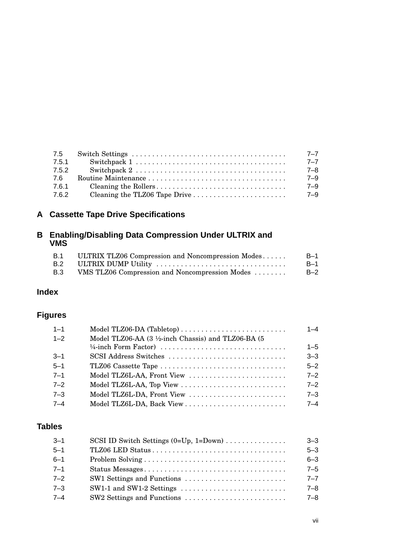| 7.5   | $7 - 7$ |
|-------|---------|
| 7.5.1 | $7 - 7$ |
| 7.5.2 | 7–8     |
| 7.6   | $7 - 9$ |
| 7.6.1 | $7 - 9$ |
| 7.6.2 | 7-9     |

### **A Cassette Tape Drive Specifications**

### **B Enabling/Disabling Data Compression Under ULTRIX and VMS**

| <b>B.1</b> | ULTRIX TLZ06 Compression and Noncompression Modes | $B-1$ |
|------------|---------------------------------------------------|-------|
| B.2        | ULTRIX DUMP Utility                               | $B-1$ |
| B.3        | VMS TLZ06 Compression and Noncompression Modes    | $B-2$ |

### **Index**

### **Figures**

| $1 - 1$ |                                                     | $1 - 4$ |
|---------|-----------------------------------------------------|---------|
| $1 - 2$ | Model TLZ06-AA (3 1/2-inch Chassis) and TLZ06-BA (5 |         |
|         |                                                     | $1 - 5$ |
| $3 - 1$ | SCSI Address Switches                               | $3 - 3$ |
| $5 - 1$ |                                                     | $5 - 2$ |
| $7 - 1$ | Model TLZ6L-AA, Front View                          | $7 - 2$ |
| $7 - 2$ | Model TLZ6L-AA, Top View                            | $7 - 2$ |
| $7 - 3$ | Model TLZ6L-DA, Front View                          | $7 - 3$ |
| $7 - 4$ |                                                     | $7 - 4$ |
|         |                                                     |         |

### **Tables**

| $3 - 1$ | SCSI ID Switch Settings $(0=Up, 1=Down)$ | $3 - 3$ |
|---------|------------------------------------------|---------|
| $5 - 1$ |                                          | $5 - 3$ |
| $6 - 1$ |                                          | $6 - 3$ |
| $7 - 1$ |                                          | $7 - 5$ |
| $7 - 2$ |                                          | $7 - 7$ |
| $7 - 3$ |                                          | $7 - 8$ |
| $7 - 4$ |                                          | $7 - 8$ |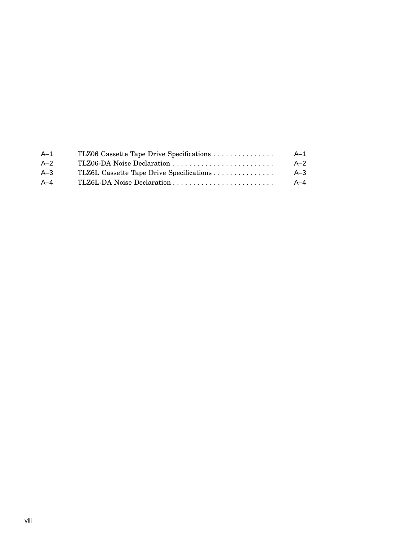| TLZ06 Cassette Tape Drive Specifications | A–1     |
|------------------------------------------|---------|
|                                          | $A - 2$ |
|                                          | $A - 3$ |
|                                          | $A - 4$ |
|                                          |         |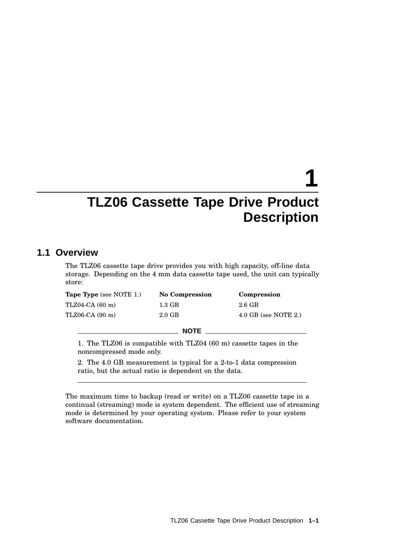# **1**

## **TLZ06 Cassette Tape Drive Product Description**

### **1.1 Overview**

The TLZ06 cassette tape drive provides you with high capacity, off-line data storage. Depending on the 4 mm data cassette tape used, the unit can typically store:

| <b>Tape Type</b> (see NOTE 1.) | <b>No Compression</b> | Compression            |
|--------------------------------|-----------------------|------------------------|
| TLZ04-CA (60 m)                | $1.3 \text{ GB}$      | $2.6\text{ GB}$        |
| TLZ06-CA (90 m)                | $2.0 \text{ GB}$      | $4.0$ GB (see NOTE 2.) |
|                                | <b>NOTE</b>           |                        |

1. The TLZ06 is compatible with TLZ04 (60 m) cassette tapes in the noncompressed mode only.

2. The 4.0 GB measurement is typical for a 2-to-1 data compression ratio, but the actual ratio is dependent on the data.

The maximum time to backup (read or write) on a TLZ06 cassette tape in a continual (streaming) mode is system dependent. The efficient use of streaming mode is determined by your operating system. Please refer to your system software documentation.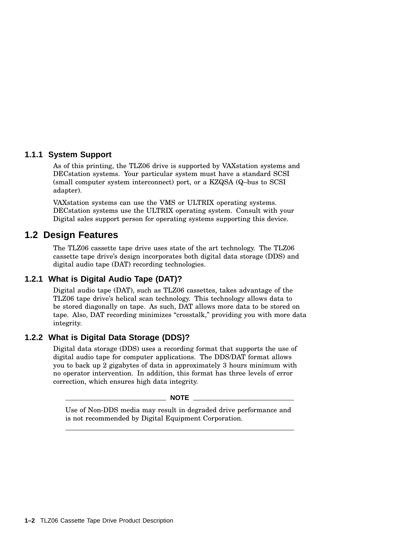### **1.1.1 System Support**

As of this printing, the TLZ06 drive is supported by VAXstation systems and DECstation systems. Your particular system must have a standard SCSI (small computer system interconnect) port, or a KZQSA (Q–bus to SCSI adapter).

VAXstation systems can use the VMS or ULTRIX operating systems. DECstation systems use the ULTRIX operating system. Consult with your Digital sales support person for operating systems supporting this device.

### **1.2 Design Features**

The TLZ06 cassette tape drive uses state of the art technology. The TLZ06 cassette tape drive's design incorporates both digital data storage (DDS) and digital audio tape (DAT) recording technologies.

### **1.2.1 What is Digital Audio Tape (DAT)?**

Digital audio tape (DAT), such as TLZ06 cassettes, takes advantage of the TLZ06 tape drive's helical scan technology. This technology allows data to be stored diagonally on tape. As such, DAT allows more data to be stored on tape. Also, DAT recording minimizes "crosstalk," providing you with more data integrity.

### **1.2.2 What is Digital Data Storage (DDS)?**

Digital data storage (DDS) uses a recording format that supports the use of digital audio tape for computer applications. The DDS/DAT format allows you to back up 2 gigabytes of data in approximately 3 hours minimum with no operator intervention. In addition, this format has three levels of error correction, which ensures high data integrity.

 $\_$  NOTE  $\_$ 

Use of Non-DDS media may result in degraded drive performance and is not recommended by Digital Equipment Corporation.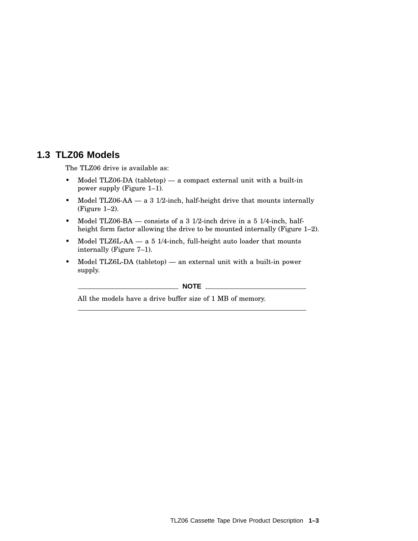### **1.3 TLZ06 Models**

The TLZ06 drive is available as:

- Model TLZ06-DA (tabletop) a compact external unit with a built-in power supply (Figure 1–1).
- Model TLZ06-AA a 3 1/2-inch, half-height drive that mounts internally (Figure 1–2).
- Model TLZ06-BA consists of a 3 1/2-inch drive in a 5 1/4-inch, halfheight form factor allowing the drive to be mounted internally (Figure 1–2).
- Model TLZ6L-AA a 5 1/4-inch, full-height auto loader that mounts internally (Figure 7–1).
- Model TLZ6L-DA (tabletop) an external unit with a built-in power supply.

 $\_$  NOTE  $\_$ 

All the models have a drive buffer size of 1 MB of memory.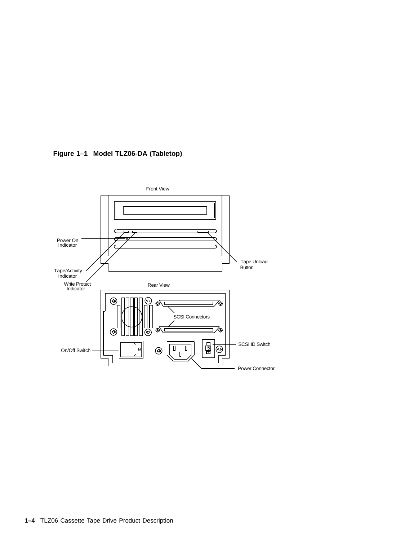

**Figure 1–1 Model TLZ06-DA (Tabletop)**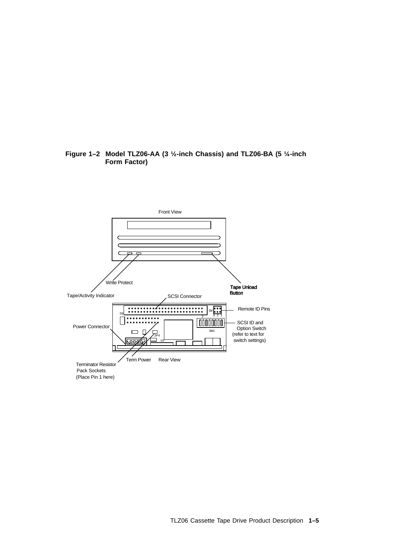### **Figure 1–2 Model TLZ06-AA (3 ½-inch Chassis) and TLZ06-BA (5 ¼-inch Form Factor)**

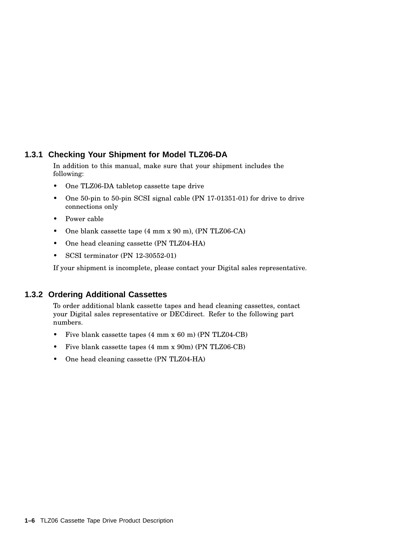### **1.3.1 Checking Your Shipment for Model TLZ06-DA**

In addition to this manual, make sure that your shipment includes the following:

- One TLZ06-DA tabletop cassette tape drive
- One 50-pin to 50-pin SCSI signal cable (PN 17-01351-01) for drive to drive connections only
- Power cable
- One blank cassette tape (4 mm x 90 m), (PN TLZ06-CA)
- One head cleaning cassette (PN TLZ04-HA)
- SCSI terminator (PN 12-30552-01)

If your shipment is incomplete, please contact your Digital sales representative.

### **1.3.2 Ordering Additional Cassettes**

To order additional blank cassette tapes and head cleaning cassettes, contact your Digital sales representative or DECdirect. Refer to the following part numbers.

- Five blank cassette tapes (4 mm x 60 m) (PN TLZ04-CB)
- Five blank cassette tapes (4 mm x 90m) (PN TLZ06-CB)
- One head cleaning cassette (PN TLZ04-HA)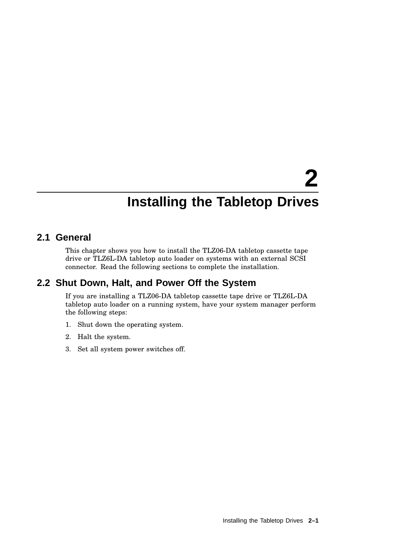# **2 Installing the Tabletop Drives**

### **2.1 General**

This chapter shows you how to install the TLZ06-DA tabletop cassette tape drive or TLZ6L-DA tabletop auto loader on systems with an external SCSI connector. Read the following sections to complete the installation.

### **2.2 Shut Down, Halt, and Power Off the System**

If you are installing a TLZ06-DA tabletop cassette tape drive or TLZ6L-DA tabletop auto loader on a running system, have your system manager perform the following steps:

- 1. Shut down the operating system.
- 2. Halt the system.
- 3. Set all system power switches off.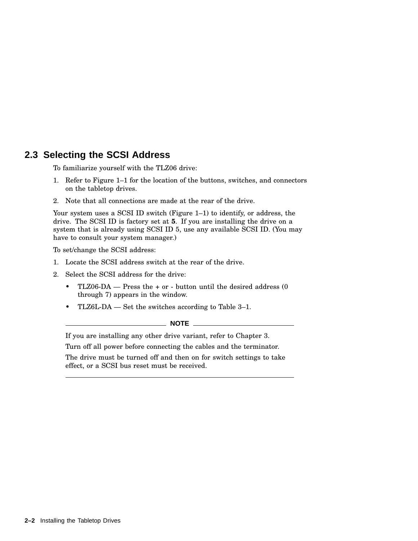### **2.3 Selecting the SCSI Address**

To familiarize yourself with the TLZ06 drive:

- 1. Refer to Figure 1–1 for the location of the buttons, switches, and connectors on the tabletop drives.
- 2. Note that all connections are made at the rear of the drive.

Your system uses a SCSI ID switch (Figure 1–1) to identify, or address, the drive. The SCSI ID is factory set at **5**. If you are installing the drive on a system that is already using SCSI ID 5, use any available SCSI ID. (You may have to consult your system manager.)

To set/change the SCSI address:

- 1. Locate the SCSI address switch at the rear of the drive.
- 2. Select the SCSI address for the drive:
	- TLZ06-DA Press the + or button until the desired address (0 through 7) appears in the window.
	- TLZ6L-DA Set the switches according to Table 3–1.

### $\_$  NOTE  $\_$

If you are installing any other drive variant, refer to Chapter 3.

Turn off all power before connecting the cables and the terminator.

The drive must be turned off and then on for switch settings to take effect, or a SCSI bus reset must be received.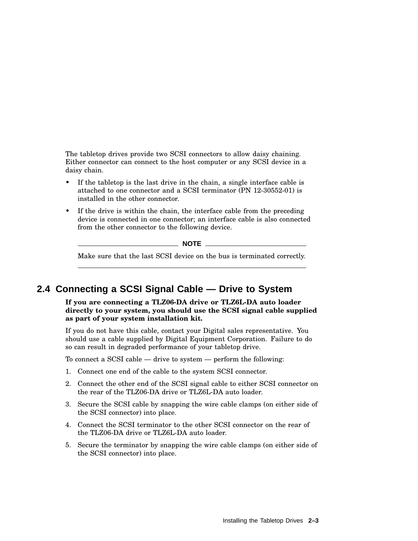The tabletop drives provide two SCSI connectors to allow daisy chaining. Either connector can connect to the host computer or any SCSI device in a daisy chain.

- If the tabletop is the last drive in the chain, a single interface cable is attached to one connector and a SCSI terminator (PN 12-30552-01) is installed in the other connector.
- If the drive is within the chain, the interface cable from the preceding device is connected in one connector; an interface cable is also connected from the other connector to the following device.

**NOTE**

Make sure that the last SCSI device on the bus is terminated correctly.

### **2.4 Connecting a SCSI Signal Cable — Drive to System**

**If you are connecting a TLZ06-DA drive or TLZ6L-DA auto loader directly to your system, you should use the SCSI signal cable supplied as part of your system installation kit.**

If you do not have this cable, contact your Digital sales representative. You should use a cable supplied by Digital Equipment Corporation. Failure to do so can result in degraded performance of your tabletop drive.

To connect a SCSI cable — drive to system — perform the following:

- 1. Connect one end of the cable to the system SCSI connector.
- 2. Connect the other end of the SCSI signal cable to either SCSI connector on the rear of the TLZ06-DA drive or TLZ6L-DA auto loader.
- 3. Secure the SCSI cable by snapping the wire cable clamps (on either side of the SCSI connector) into place.
- 4. Connect the SCSI terminator to the other SCSI connector on the rear of the TLZ06-DA drive or TLZ6L-DA auto loader.
- 5. Secure the terminator by snapping the wire cable clamps (on either side of the SCSI connector) into place.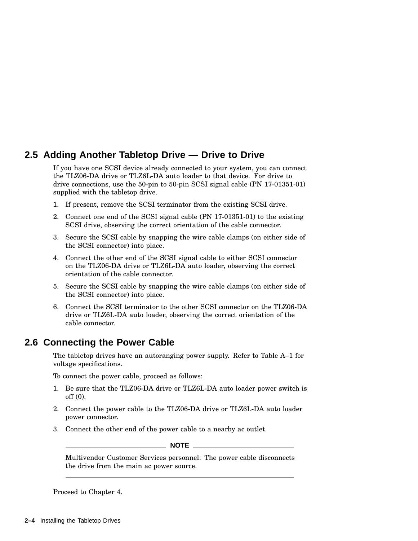### **2.5 Adding Another Tabletop Drive — Drive to Drive**

If you have one SCSI device already connected to your system, you can connect the TLZ06-DA drive or TLZ6L-DA auto loader to that device. For drive to drive connections, use the 50-pin to 50-pin SCSI signal cable (PN 17-01351-01) supplied with the tabletop drive.

- 1. If present, remove the SCSI terminator from the existing SCSI drive.
- 2. Connect one end of the SCSI signal cable (PN 17-01351-01) to the existing SCSI drive, observing the correct orientation of the cable connector.
- 3. Secure the SCSI cable by snapping the wire cable clamps (on either side of the SCSI connector) into place.
- 4. Connect the other end of the SCSI signal cable to either SCSI connector on the TLZ06-DA drive or TLZ6L-DA auto loader, observing the correct orientation of the cable connector.
- 5. Secure the SCSI cable by snapping the wire cable clamps (on either side of the SCSI connector) into place.
- 6. Connect the SCSI terminator to the other SCSI connector on the TLZ06-DA drive or TLZ6L-DA auto loader, observing the correct orientation of the cable connector.

### **2.6 Connecting the Power Cable**

The tabletop drives have an autoranging power supply. Refer to Table A–1 for voltage specifications.

To connect the power cable, proceed as follows:

- 1. Be sure that the TLZ06-DA drive or TLZ6L-DA auto loader power switch is off (0).
- 2. Connect the power cable to the TLZ06-DA drive or TLZ6L-DA auto loader power connector.
- 3. Connect the other end of the power cable to a nearby ac outlet.

**NOTE**

Multivendor Customer Services personnel: The power cable disconnects the drive from the main ac power source.

Proceed to Chapter 4.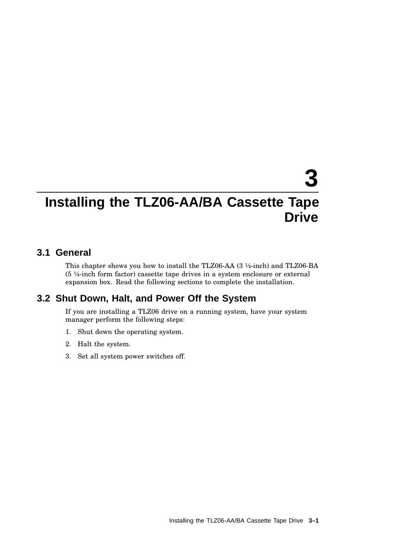# **3**

## **Installing the TLZ06-AA/BA Cassette Tape Drive**

### **3.1 General**

This chapter shows you how to install the TLZ06-AA (3 ½-inch) and TLZ06-BA (5 ¼-inch form factor) cassette tape drives in a system enclosure or external expansion box. Read the following sections to complete the installation.

### **3.2 Shut Down, Halt, and Power Off the System**

If you are installing a TLZ06 drive on a running system, have your system manager perform the following steps:

- 1. Shut down the operating system.
- 2. Halt the system.
- 3. Set all system power switches off.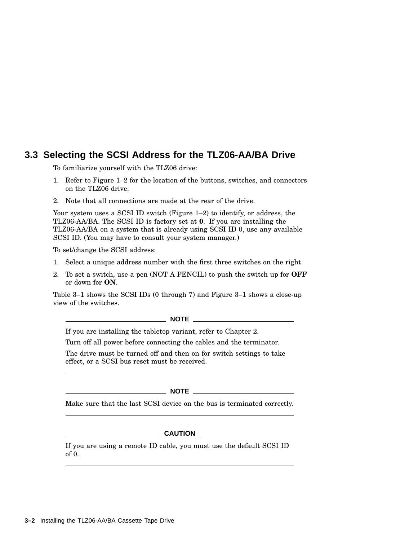### **3.3 Selecting the SCSI Address for the TLZ06-AA/BA Drive**

To familiarize yourself with the TLZ06 drive:

- 1. Refer to Figure 1–2 for the location of the buttons, switches, and connectors on the TLZ06 drive.
- 2. Note that all connections are made at the rear of the drive.

Your system uses a SCSI ID switch (Figure 1–2) to identify, or address, the TLZ06-AA/BA. The SCSI ID is factory set at **0**. If you are installing the TLZ06-AA/BA on a system that is already using SCSI ID 0, use any available SCSI ID. (You may have to consult your system manager.)

To set/change the SCSI address:

- 1. Select a unique address number with the first three switches on the right.
- 2. To set a switch, use a pen (NOT A PENCIL) to push the switch up for **OFF** or down for **ON**.

Table 3–1 shows the SCSI IDs (0 through 7) and Figure 3–1 shows a close-up view of the switches.

### **NOTE**

If you are installing the tabletop variant, refer to Chapter 2.

Turn off all power before connecting the cables and the terminator.

The drive must be turned off and then on for switch settings to take effect, or a SCSI bus reset must be received.

**NOTE**

Make sure that the last SCSI device on the bus is terminated correctly.

 $\_$  CAUTION  $\_$ 

If you are using a remote ID cable, you must use the default SCSI ID of 0.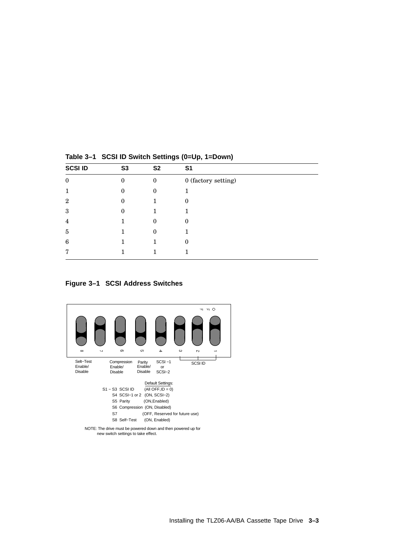| <b>SCSI ID</b>   | S <sub>3</sub> | S <sub>2</sub> | S <sub>1</sub>      |
|------------------|----------------|----------------|---------------------|
| $\boldsymbol{0}$ | 0              | $\mathbf{0}$   | 0 (factory setting) |
|                  | 0              |                |                     |
| $\mathbf{2}$     | 0              |                | $\Omega$            |
| 3                | 0              |                |                     |
| 4                |                | 0              | $\mathbf{0}$        |
| 5                |                |                |                     |
| 6                |                |                | 0                   |
| г,               |                |                |                     |

**Table 3–1 SCSI ID Switch Settings (0=Up, 1=Down)**

### **Figure 3–1 SCSI Address Switches**



NOTE: The drive must be powered down and then powered up for new switch settings to take effect.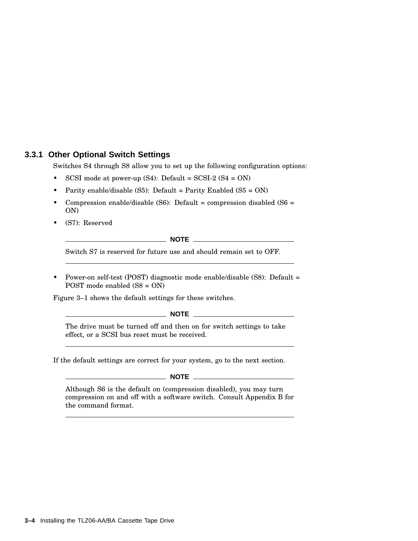### **3.3.1 Other Optional Switch Settings**

Switches S4 through S8 allow you to set up the following configuration options:

- SCSI mode at power-up  $(S4)$ : Default = SCSI-2  $(S4 = ON)$
- Parity enable/disable (S5): Default = Parity Enabled (S5 = ON)
- Compression enable/disable (S6): Default = compression disabled (S6 = ON)
- (S7): Reserved

**NOTE**

Switch S7 is reserved for future use and should remain set to OFF.

• Power-on self-test (POST) diagnostic mode enable/disable (S8): Default = POST mode enabled (S8 = ON)

Figure 3–1 shows the default settings for these switches.

**NOTE**

The drive must be turned off and then on for switch settings to take effect, or a SCSI bus reset must be received.

If the default settings are correct for your system, go to the next section.

 $M$ **NOTE** 

Although S6 is the default on (compression disabled), you may turn compression on and off with a software switch. Consult Appendix B for the command format.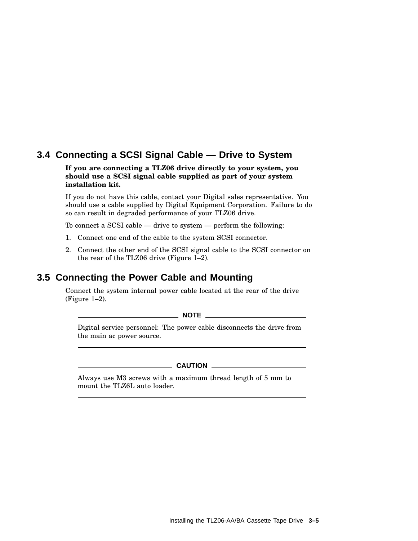### **3.4 Connecting a SCSI Signal Cable — Drive to System**

### **If you are connecting a TLZ06 drive directly to your system, you should use a SCSI signal cable supplied as part of your system installation kit.**

If you do not have this cable, contact your Digital sales representative. You should use a cable supplied by Digital Equipment Corporation. Failure to do so can result in degraded performance of your TLZ06 drive.

To connect a SCSI cable — drive to system — perform the following:

- 1. Connect one end of the cable to the system SCSI connector.
- 2. Connect the other end of the SCSI signal cable to the SCSI connector on the rear of the TLZ06 drive (Figure 1–2).

### **3.5 Connecting the Power Cable and Mounting**

Connect the system internal power cable located at the rear of the drive (Figure 1–2).

**NOTE**

Digital service personnel: The power cable disconnects the drive from the main ac power source.

### **CAUTION**

Always use M3 screws with a maximum thread length of 5 mm to mount the TLZ6L auto loader.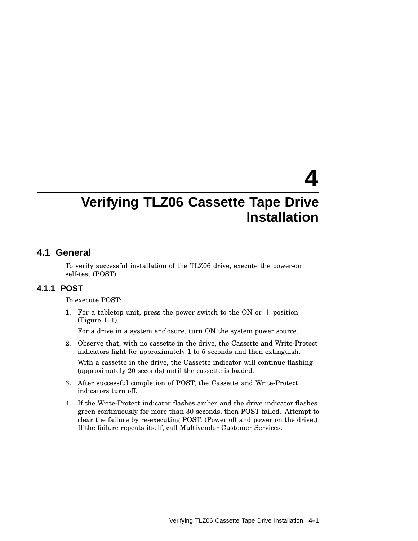# **4**

## **Verifying TLZ06 Cassette Tape Drive Installation**

### **4.1 General**

To verify successful installation of the TLZ06 drive, execute the power-on self-test (POST).

### **4.1.1 POST**

To execute POST:

1. For a tabletop unit, press the power switch to the ON or  $\perp$  position (Figure 1–1).

For a drive in a system enclosure, turn ON the system power source.

- 2. Observe that, with no cassette in the drive, the Cassette and Write-Protect indicators light for approximately 1 to 5 seconds and then extinguish. With a cassette in the drive, the Cassette indicator will continue flashing (approximately 20 seconds) until the cassette is loaded.
- 3. After successful completion of POST, the Cassette and Write-Protect indicators turn off.
- 4. If the Write-Protect indicator flashes amber and the drive indicator flashes green continuously for more than 30 seconds, then POST failed. Attempt to clear the failure by re-executing POST. (Power off and power on the drive.) If the failure repeats itself, call Multivendor Customer Services.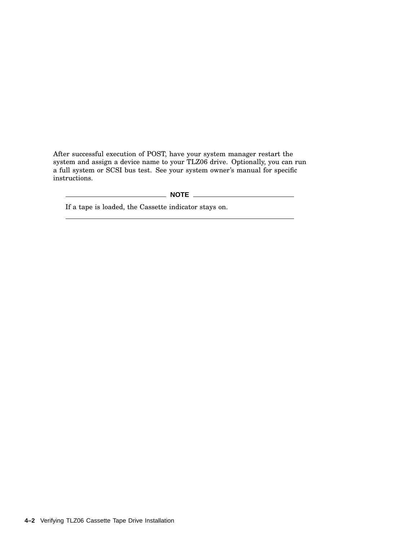After successful execution of POST, have your system manager restart the system and assign a device name to your TLZ06 drive. Optionally, you can run a full system or SCSI bus test. See your system owner's manual for specific instructions.

**NOTE**

If a tape is loaded, the Cassette indicator stays on.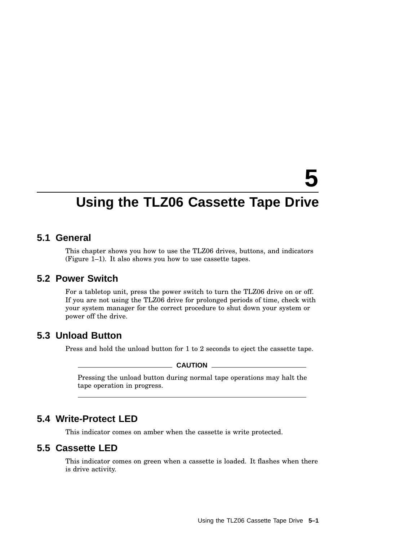# **5**

## **Using the TLZ06 Cassette Tape Drive**

### **5.1 General**

This chapter shows you how to use the TLZ06 drives, buttons, and indicators (Figure 1–1). It also shows you how to use cassette tapes.

### **5.2 Power Switch**

For a tabletop unit, press the power switch to turn the TLZ06 drive on or off. If you are not using the TLZ06 drive for prolonged periods of time, check with your system manager for the correct procedure to shut down your system or power off the drive.

### **5.3 Unload Button**

Press and hold the unload button for 1 to 2 seconds to eject the cassette tape.

**CAUTION**

Pressing the unload button during normal tape operations may halt the tape operation in progress.

### **5.4 Write-Protect LED**

This indicator comes on amber when the cassette is write protected.

### **5.5 Cassette LED**

This indicator comes on green when a cassette is loaded. It flashes when there is drive activity.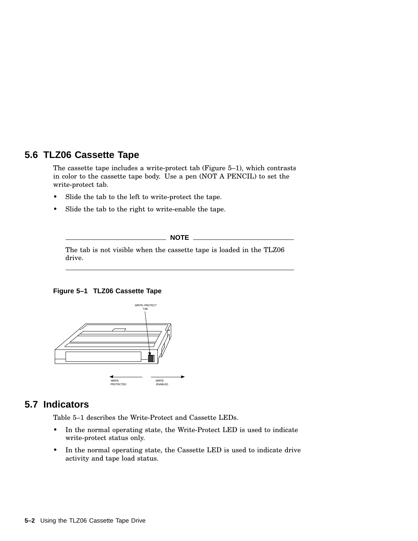### **5.6 TLZ06 Cassette Tape**

The cassette tape includes a write-protect tab (Figure 5–1), which contrasts in color to the cassette tape body. Use a pen (NOT A PENCIL) to set the write-protect tab.

- Slide the tab to the left to write-protect the tape.
- Slide the tab to the right to write-enable the tape.

**NOTE**

The tab is not visible when the cassette tape is loaded in the TLZ06 drive.

### **Figure 5–1 TLZ06 Cassette Tape**



### **5.7 Indicators**

Table 5–1 describes the Write-Protect and Cassette LEDs.

- In the normal operating state, the Write-Protect LED is used to indicate write-protect status only.
- In the normal operating state, the Cassette LED is used to indicate drive activity and tape load status.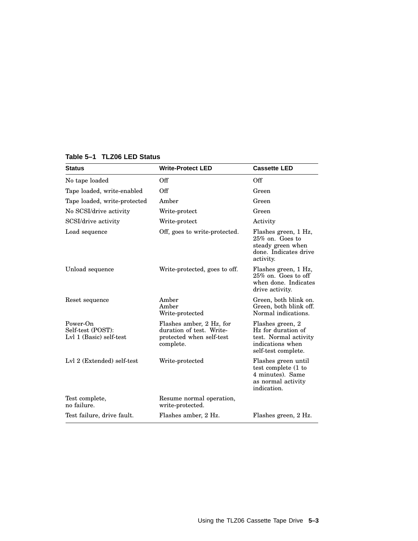| Off                                                                                           | Off                                                                                                        |
|-----------------------------------------------------------------------------------------------|------------------------------------------------------------------------------------------------------------|
| Off                                                                                           | Green                                                                                                      |
| Amber                                                                                         | Green                                                                                                      |
| Write-protect                                                                                 | Green                                                                                                      |
| Write-protect                                                                                 | Activity                                                                                                   |
| Off, goes to write-protected.                                                                 | Flashes green, 1 Hz,<br>$25\%$ on. Goes to<br>steady green when<br>done. Indicates drive<br>activity.      |
| Write-protected, goes to off.                                                                 | Flashes green, 1 Hz,<br>$25\%$ on. Goes to off<br>when done. Indicates<br>drive activity.                  |
| Amber<br>Amber<br>Write-protected                                                             | Green, both blink on.<br>Green, both blink off.<br>Normal indications.                                     |
| Flashes amber, 2 Hz, for<br>duration of test. Write-<br>protected when self-test<br>complete. | Flashes green, 2<br>Hz for duration of<br>test. Normal activity<br>indications when<br>self-test complete. |
| Write-protected                                                                               | Flashes green until<br>test complete (1 to<br>4 minutes). Same<br>as normal activity<br>indication.        |
| Resume normal operation,<br>write-protected.                                                  |                                                                                                            |
| Flashes amber, 2 Hz.                                                                          | Flashes green, 2 Hz.                                                                                       |
|                                                                                               |                                                                                                            |

### **Table 5–1 TLZ06 LED Status**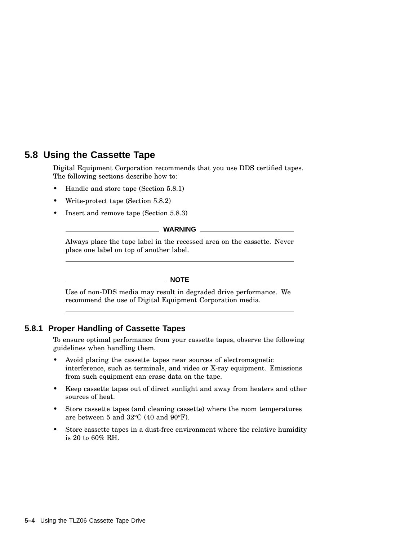### **5.8 Using the Cassette Tape**

Digital Equipment Corporation recommends that you use DDS certified tapes. The following sections describe how to:

- Handle and store tape (Section 5.8.1)
- Write-protect tape (Section 5.8.2)
- Insert and remove tape (Section 5.8.3)

### **WARNING**

Always place the tape label in the recessed area on the cassette. Never place one label on top of another label.

### **NOTE**

Use of non-DDS media may result in degraded drive performance. We recommend the use of Digital Equipment Corporation media.

### **5.8.1 Proper Handling of Cassette Tapes**

To ensure optimal performance from your cassette tapes, observe the following guidelines when handling them.

- Avoid placing the cassette tapes near sources of electromagnetic interference, such as terminals, and video or X-ray equipment. Emissions from such equipment can erase data on the tape.
- Keep cassette tapes out of direct sunlight and away from heaters and other sources of heat.
- Store cassette tapes (and cleaning cassette) where the room temperatures are between 5 and 32°C (40 and 90°F).
- Store cassette tapes in a dust-free environment where the relative humidity is 20 to 60% RH.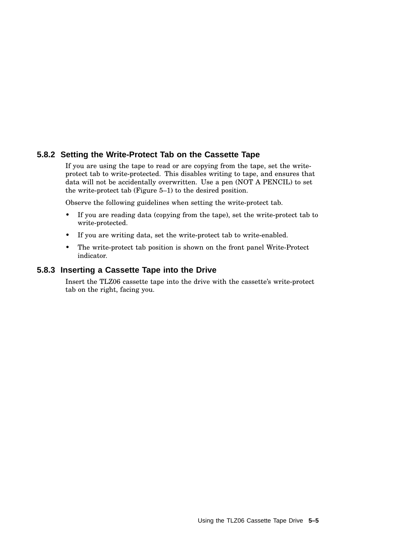### **5.8.2 Setting the Write-Protect Tab on the Cassette Tape**

If you are using the tape to read or are copying from the tape, set the writeprotect tab to write-protected. This disables writing to tape, and ensures that data will not be accidentally overwritten. Use a pen (NOT A PENCIL) to set the write-protect tab (Figure 5–1) to the desired position.

Observe the following guidelines when setting the write-protect tab.

- If you are reading data (copying from the tape), set the write-protect tab to write-protected.
- If you are writing data, set the write-protect tab to write-enabled.
- The write-protect tab position is shown on the front panel Write-Protect indicator.

### **5.8.3 Inserting a Cassette Tape into the Drive**

Insert the TLZ06 cassette tape into the drive with the cassette's write-protect tab on the right, facing you.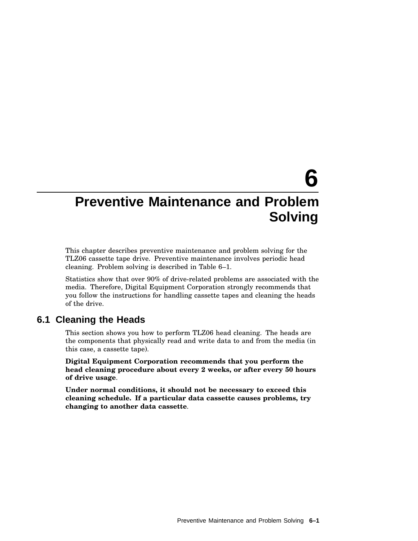# **6**

## **Preventive Maintenance and Problem Solving**

This chapter describes preventive maintenance and problem solving for the TLZ06 cassette tape drive. Preventive maintenance involves periodic head cleaning. Problem solving is described in Table 6–1.

Statistics show that over 90% of drive-related problems are associated with the media. Therefore, Digital Equipment Corporation strongly recommends that you follow the instructions for handling cassette tapes and cleaning the heads of the drive.

### **6.1 Cleaning the Heads**

This section shows you how to perform TLZ06 head cleaning. The heads are the components that physically read and write data to and from the media (in this case, a cassette tape).

**Digital Equipment Corporation recommends that you perform the head cleaning procedure about every 2 weeks, or after every 50 hours of drive usage**.

**Under normal conditions, it should not be necessary to exceed this cleaning schedule. If a particular data cassette causes problems, try changing to another data cassette**.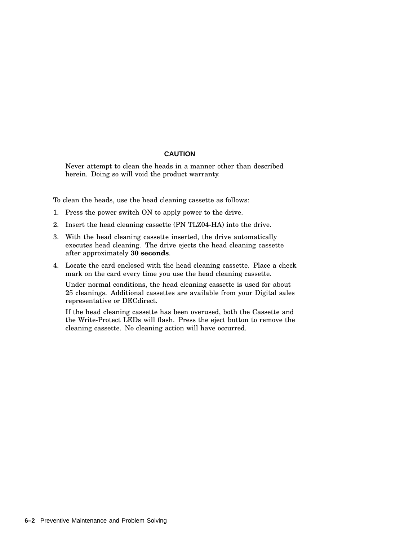### **CAUTION**

Never attempt to clean the heads in a manner other than described herein. Doing so will void the product warranty.

To clean the heads, use the head cleaning cassette as follows:

- 1. Press the power switch ON to apply power to the drive.
- 2. Insert the head cleaning cassette (PN TLZ04-HA) into the drive.
- 3. With the head cleaning cassette inserted, the drive automatically executes head cleaning. The drive ejects the head cleaning cassette after approximately **30 seconds**.
- 4. Locate the card enclosed with the head cleaning cassette. Place a check mark on the card every time you use the head cleaning cassette.

Under normal conditions, the head cleaning cassette is used for about 25 cleanings. Additional cassettes are available from your Digital sales representative or DECdirect.

If the head cleaning cassette has been overused, both the Cassette and the Write-Protect LEDs will flash. Press the eject button to remove the cleaning cassette. No cleaning action will have occurred.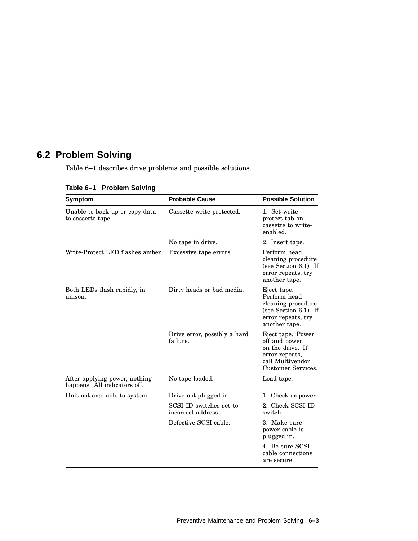### **6.2 Problem Solving**

Table 6–1 describes drive problems and possible solutions.

| <b>Symptom</b>                                                | <b>Probable Cause</b>                         | <b>Possible Solution</b>                                                                                             |
|---------------------------------------------------------------|-----------------------------------------------|----------------------------------------------------------------------------------------------------------------------|
| Unable to back up or copy data<br>to cassette tape.           | Cassette write-protected.                     | 1. Set write-<br>protect tab on<br>cassette to write-<br>enabled.                                                    |
|                                                               | No tape in drive.                             | 2. Insert tape.                                                                                                      |
| Write-Protect LED flashes amber                               | Excessive tape errors.                        | Perform head<br>cleaning procedure<br>(see Section $6.1$ ). If<br>error repeats, try<br>another tape.                |
| Both LEDs flash rapidly, in<br>unison.                        | Dirty heads or bad media.                     | Eject tape.<br>Perform head<br>cleaning procedure<br>(see Section $6.1$ ). If<br>error repeats, try<br>another tape. |
|                                                               | Drive error, possibly a hard<br>failure.      | Eject tape. Power<br>off and power<br>on the drive. If<br>error repeats,<br>call Multivendor<br>Customer Services.   |
| After applying power, nothing<br>happens. All indicators off. | No tape loaded.                               | Load tape.                                                                                                           |
| Unit not available to system.                                 | Drive not plugged in.                         | 1. Check ac power.                                                                                                   |
|                                                               | SCSI ID switches set to<br>incorrect address. | 2. Check SCSI ID<br>switch.                                                                                          |
|                                                               | Defective SCSI cable.                         | 3. Make sure<br>power cable is<br>plugged in.                                                                        |
|                                                               |                                               | 4. Be sure SCSI<br>cable connections<br>are secure.                                                                  |

### **Table 6–1 Problem Solving**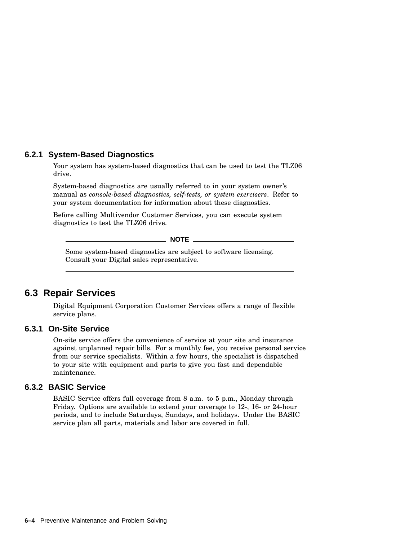### **6.2.1 System-Based Diagnostics**

Your system has system-based diagnostics that can be used to test the TLZ06 drive.

System-based diagnostics are usually referred to in your system owner's manual as *console-based diagnostics, self-tests, or system exercisers*. Refer to your system documentation for information about these diagnostics.

Before calling Multivendor Customer Services, you can execute system diagnostics to test the TLZ06 drive.

\_ NOTE \_

Some system-based diagnostics are subject to software licensing. Consult your Digital sales representative.

### **6.3 Repair Services**

Digital Equipment Corporation Customer Services offers a range of flexible service plans.

### **6.3.1 On-Site Service**

On-site service offers the convenience of service at your site and insurance against unplanned repair bills. For a monthly fee, you receive personal service from our service specialists. Within a few hours, the specialist is dispatched to your site with equipment and parts to give you fast and dependable maintenance.

### **6.3.2 BASIC Service**

BASIC Service offers full coverage from 8 a.m. to 5 p.m., Monday through Friday. Options are available to extend your coverage to 12-, 16- or 24-hour periods, and to include Saturdays, Sundays, and holidays. Under the BASIC service plan all parts, materials and labor are covered in full.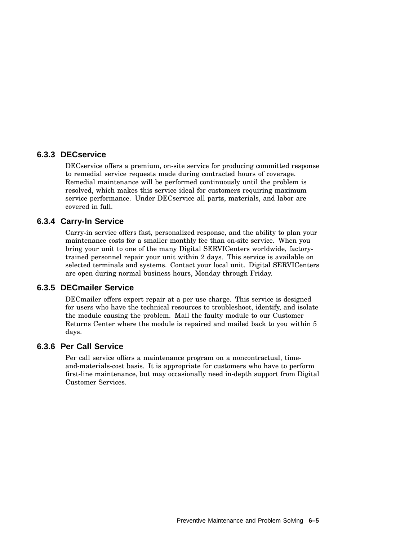### **6.3.3 DECservice**

DECservice offers a premium, on-site service for producing committed response to remedial service requests made during contracted hours of coverage. Remedial maintenance will be performed continuously until the problem is resolved, which makes this service ideal for customers requiring maximum service performance. Under DECservice all parts, materials, and labor are covered in full.

### **6.3.4 Carry-In Service**

Carry-in service offers fast, personalized response, and the ability to plan your maintenance costs for a smaller monthly fee than on-site service. When you bring your unit to one of the many Digital SERVICenters worldwide, factorytrained personnel repair your unit within 2 days. This service is available on selected terminals and systems. Contact your local unit. Digital SERVICenters are open during normal business hours, Monday through Friday.

### **6.3.5 DECmailer Service**

DECmailer offers expert repair at a per use charge. This service is designed for users who have the technical resources to troubleshoot, identify, and isolate the module causing the problem. Mail the faulty module to our Customer Returns Center where the module is repaired and mailed back to you within 5 days.

### **6.3.6 Per Call Service**

Per call service offers a maintenance program on a noncontractual, timeand-materials-cost basis. It is appropriate for customers who have to perform first-line maintenance, but may occasionally need in-depth support from Digital Customer Services.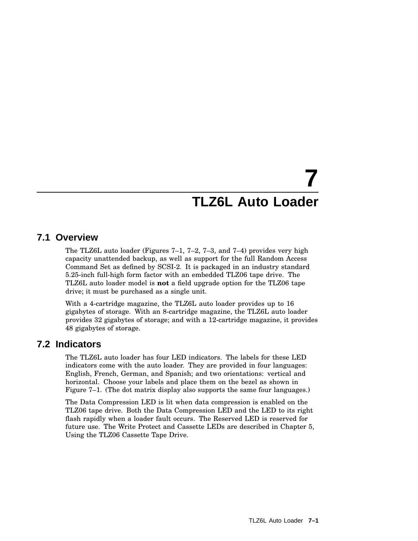# **7 TLZ6L Auto Loader**

### **7.1 Overview**

The TLZ6L auto loader (Figures 7–1, 7–2, 7–3, and 7–4) provides very high capacity unattended backup, as well as support for the full Random Access Command Set as defined by SCSI-2. It is packaged in an industry standard 5.25-inch full-high form factor with an embedded TLZ06 tape drive. The TLZ6L auto loader model is **not** a field upgrade option for the TLZ06 tape drive; it must be purchased as a single unit.

With a 4-cartridge magazine, the TLZ6L auto loader provides up to 16 gigabytes of storage. With an 8-cartridge magazine, the TLZ6L auto loader provides 32 gigabytes of storage; and with a 12-cartridge magazine, it provides 48 gigabytes of storage.

### **7.2 Indicators**

The TLZ6L auto loader has four LED indicators. The labels for these LED indicators come with the auto loader. They are provided in four languages: English, French, German, and Spanish; and two orientations: vertical and horizontal. Choose your labels and place them on the bezel as shown in Figure 7–1. (The dot matrix display also supports the same four languages.)

The Data Compression LED is lit when data compression is enabled on the TLZ06 tape drive. Both the Data Compression LED and the LED to its right flash rapidly when a loader fault occurs. The Reserved LED is reserved for future use. The Write Protect and Cassette LEDs are described in Chapter 5, Using the TLZ06 Cassette Tape Drive.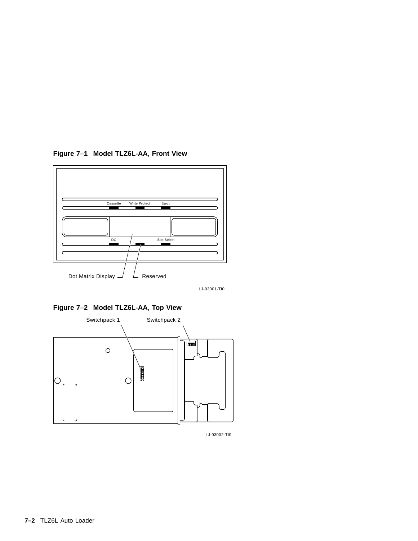

**Figure 7–1 Model TLZ6L-AA, Front View**

LJ-03001-TI0

**Figure 7–2 Model TLZ6L-AA, Top View**



LJ-03002-TI0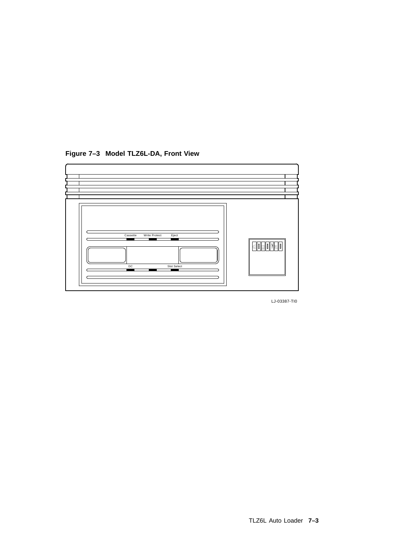

**Figure 7–3 Model TLZ6L-DA, Front View**

LJ-03387-TI0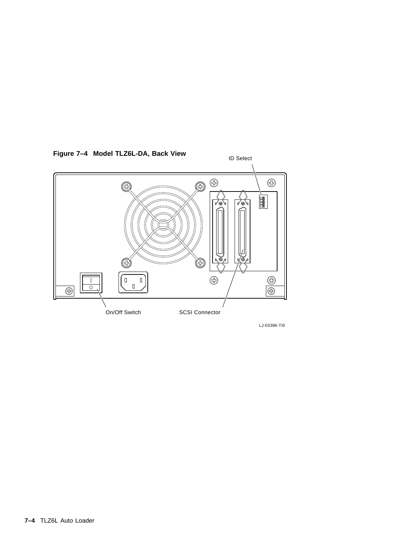

**Figure 7–4 Model TLZ6L-DA, Back View**

LJ-03386-TI0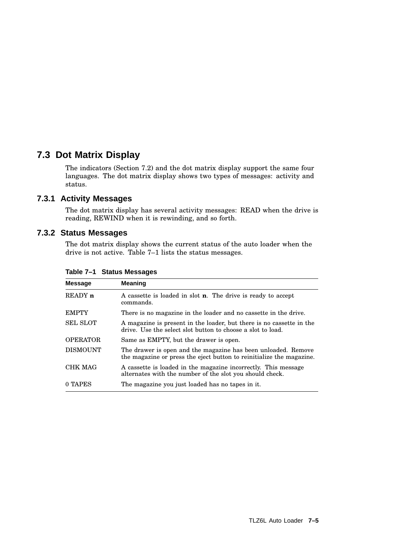### **7.3 Dot Matrix Display**

The indicators (Section 7.2) and the dot matrix display support the same four languages. The dot matrix display shows two types of messages: activity and status.

### **7.3.1 Activity Messages**

The dot matrix display has several activity messages: READ when the drive is reading, REWIND when it is rewinding, and so forth.

### **7.3.2 Status Messages**

The dot matrix display shows the current status of the auto loader when the drive is not active. Table 7–1 lists the status messages.

| <b>Message</b>     | <b>Meaning</b>                                                                                                                        |
|--------------------|---------------------------------------------------------------------------------------------------------------------------------------|
| READY <sub>n</sub> | A cassette is loaded in slot <b>n</b> . The drive is ready to accept<br>commands.                                                     |
| <b>EMPTY</b>       | There is no magazine in the loader and no cassette in the drive.                                                                      |
| <b>SEL SLOT</b>    | A magazine is present in the loader, but there is no cassette in the<br>drive. Use the select slot button to choose a slot to load.   |
| <b>OPERATOR</b>    | Same as EMPTY, but the drawer is open.                                                                                                |
| <b>DISMOUNT</b>    | The drawer is open and the magazine has been unloaded. Remove<br>the magazine or press the eject button to reinitialize the magazine. |
| <b>CHK MAG</b>     | A cassette is loaded in the magazine incorrectly. This message<br>alternates with the number of the slot you should check.            |
| 0 TAPES            | The magazine you just loaded has no tapes in it.                                                                                      |

### **Table 7–1 Status Messages**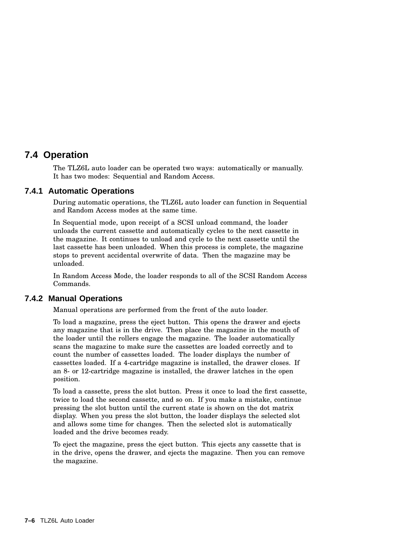### **7.4 Operation**

The TLZ6L auto loader can be operated two ways: automatically or manually. It has two modes: Sequential and Random Access.

### **7.4.1 Automatic Operations**

During automatic operations, the TLZ6L auto loader can function in Sequential and Random Access modes at the same time.

In Sequential mode, upon receipt of a SCSI unload command, the loader unloads the current cassette and automatically cycles to the next cassette in the magazine. It continues to unload and cycle to the next cassette until the last cassette has been unloaded. When this process is complete, the magazine stops to prevent accidental overwrite of data. Then the magazine may be unloaded.

In Random Access Mode, the loader responds to all of the SCSI Random Access Commands.

### **7.4.2 Manual Operations**

Manual operations are performed from the front of the auto loader.

To load a magazine, press the eject button. This opens the drawer and ejects any magazine that is in the drive. Then place the magazine in the mouth of the loader until the rollers engage the magazine. The loader automatically scans the magazine to make sure the cassettes are loaded correctly and to count the number of cassettes loaded. The loader displays the number of cassettes loaded. If a 4-cartridge magazine is installed, the drawer closes. If an 8- or 12-cartridge magazine is installed, the drawer latches in the open position.

To load a cassette, press the slot button. Press it once to load the first cassette, twice to load the second cassette, and so on. If you make a mistake, continue pressing the slot button until the current state is shown on the dot matrix display. When you press the slot button, the loader displays the selected slot and allows some time for changes. Then the selected slot is automatically loaded and the drive becomes ready.

To eject the magazine, press the eject button. This ejects any cassette that is in the drive, opens the drawer, and ejects the magazine. Then you can remove the magazine.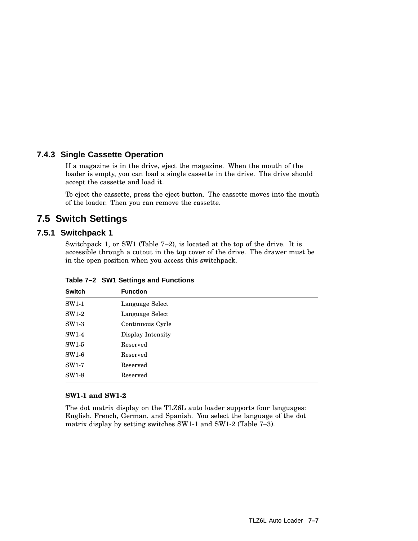### **7.4.3 Single Cassette Operation**

If a magazine is in the drive, eject the magazine. When the mouth of the loader is empty, you can load a single cassette in the drive. The drive should accept the cassette and load it.

To eject the cassette, press the eject button. The cassette moves into the mouth of the loader. Then you can remove the cassette.

### **7.5 Switch Settings**

### **7.5.1 Switchpack 1**

Switchpack 1, or SW1 (Table 7–2), is located at the top of the drive. It is accessible through a cutout in the top cover of the drive. The drawer must be in the open position when you access this switchpack.

| <b>Switch</b> | <b>Function</b>   |  |
|---------------|-------------------|--|
| SW1-1         | Language Select   |  |
| SW1-2         | Language Select   |  |
| $SW1-3$       | Continuous Cycle  |  |
| SW1-4         | Display Intensity |  |
| $SW1-5$       | Reserved          |  |
| $SW1-6$       | Reserved          |  |
| SW1-7         | Reserved          |  |
| $SW1-8$       | Reserved          |  |
|               |                   |  |

**Table 7–2 SW1 Settings and Functions**

### **SW1-1 and SW1-2**

The dot matrix display on the TLZ6L auto loader supports four languages: English, French, German, and Spanish. You select the language of the dot matrix display by setting switches SW1-1 and SW1-2 (Table 7–3).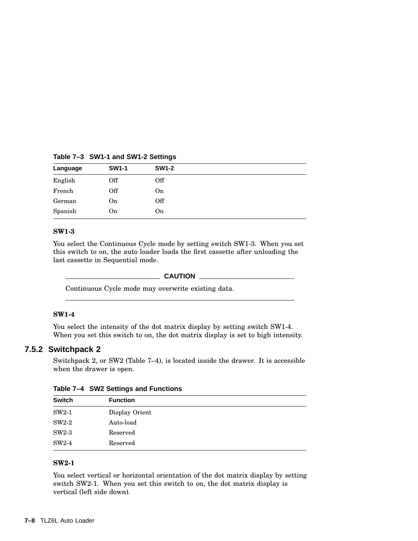**Table 7–3 SW1-1 and SW1-2 Settings**

| Language | <b>SW1-1</b> | <b>SW1-2</b> |  |
|----------|--------------|--------------|--|
| English  | Off          | Off          |  |
| French   | Off          | On           |  |
| German   | On           | Off          |  |
| Spanish  | On           | On           |  |
|          |              |              |  |

### **SW1-3**

You select the Continuous Cycle mode by setting switch SW1-3. When you set this switch to on, the auto loader loads the first cassette after unloading the last cassette in Sequential mode.

### **CAUTION**

Continuous Cycle mode may overwrite existing data.

### **SW1-4**

You select the intensity of the dot matrix display by setting switch SW1-4. When you set this switch to on, the dot matrix display is set to high intensity.

### **7.5.2 Switchpack 2**

Switchpack 2, or SW2 (Table 7–4), is located inside the drawer. It is accessible when the drawer is open.

| <b>Switch</b> | <b>Function</b> |  |
|---------------|-----------------|--|
| $SW2-1$       | Display Orient  |  |
| $SW2-2$       | Auto-load       |  |
| $SW2-3$       | Reserved        |  |
| $SW2-4$       | Reserved        |  |

**Table 7–4 SW2 Settings and Functions**

### **SW2-1**

You select vertical or horizontal orientation of the dot matrix display by setting switch SW2-1. When you set this switch to on, the dot matrix display is vertical (left side down).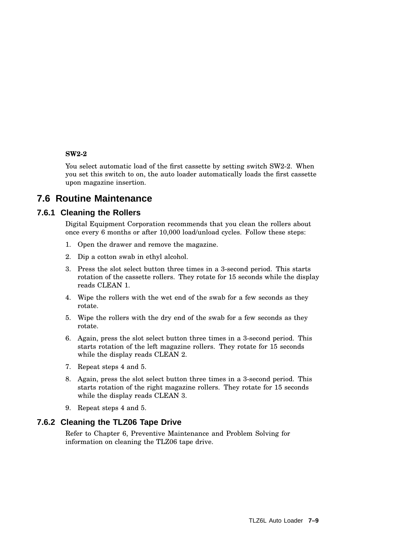### **SW2-2**

You select automatic load of the first cassette by setting switch SW2-2. When you set this switch to on, the auto loader automatically loads the first cassette upon magazine insertion.

### **7.6 Routine Maintenance**

### **7.6.1 Cleaning the Rollers**

Digital Equipment Corporation recommends that you clean the rollers about once every 6 months or after 10,000 load/unload cycles. Follow these steps:

- 1. Open the drawer and remove the magazine.
- 2. Dip a cotton swab in ethyl alcohol.
- 3. Press the slot select button three times in a 3-second period. This starts rotation of the cassette rollers. They rotate for 15 seconds while the display reads CLEAN 1.
- 4. Wipe the rollers with the wet end of the swab for a few seconds as they rotate.
- 5. Wipe the rollers with the dry end of the swab for a few seconds as they rotate.
- 6. Again, press the slot select button three times in a 3-second period. This starts rotation of the left magazine rollers. They rotate for 15 seconds while the display reads CLEAN 2.
- 7. Repeat steps 4 and 5.
- 8. Again, press the slot select button three times in a 3-second period. This starts rotation of the right magazine rollers. They rotate for 15 seconds while the display reads CLEAN 3.
- 9. Repeat steps 4 and 5.

### **7.6.2 Cleaning the TLZ06 Tape Drive**

Refer to Chapter 6, Preventive Maintenance and Problem Solving for information on cleaning the TLZ06 tape drive.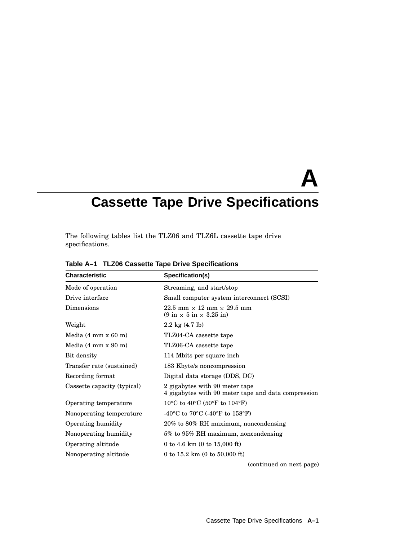# **A Cassette Tape Drive Specifications**

The following tables list the TLZ06 and TLZ6L cassette tape drive specifications.

| <b>Characteristic</b>                           | Specification(s)                                                                                         |
|-------------------------------------------------|----------------------------------------------------------------------------------------------------------|
| Mode of operation                               | Streaming, and start/stop                                                                                |
| Drive interface                                 | Small computer system interconnect (SCSI)                                                                |
| Dimensions                                      | $22.5$ mm $\times$ 12 mm $\times$ 29.5 mm<br>$(9 \text{ in} \times 5 \text{ in} \times 3.25 \text{ in})$ |
| Weight                                          | $2.2 \text{ kg} (4.7 \text{ lb})$                                                                        |
| Media $(4 \text{ mm } x \text{ } 60 \text{ m})$ | TLZ04-CA cassette tape                                                                                   |
| Media $(4 \text{ mm } x \text{ } 90 \text{ m})$ | TLZ06-CA cassette tape                                                                                   |
| Bit density                                     | 114 Mbits per square inch                                                                                |
| Transfer rate (sustained)                       | 183 Kbyte/s noncompression                                                                               |
| Recording format                                | Digital data storage (DDS, DC)                                                                           |
| Cassette capacity (typical)                     | 2 gigabytes with 90 meter tape<br>4 gigabytes with 90 meter tape and data compression                    |
| Operating temperature                           | 10 <sup>o</sup> C to 40 <sup>o</sup> C (50 <sup>o</sup> F to 104 <sup>o</sup> F)                         |
| Nonoperating temperature                        | -40°C to 70°C (-40°F to 158°F)                                                                           |
| Operating humidity                              | 20% to 80% RH maximum, noncondensing                                                                     |
| Nonoperating humidity                           | 5% to 95% RH maximum, noncondensing                                                                      |
| Operating altitude                              | 0 to 4.6 km (0 to 15,000 ft)                                                                             |
| Nonoperating altitude                           | 0 to $15.2 \text{ km}$ (0 to $50,000 \text{ ft}$ )                                                       |
|                                                 | (continued on next page)                                                                                 |

**Table A–1 TLZ06 Cassette Tape Drive Specifications**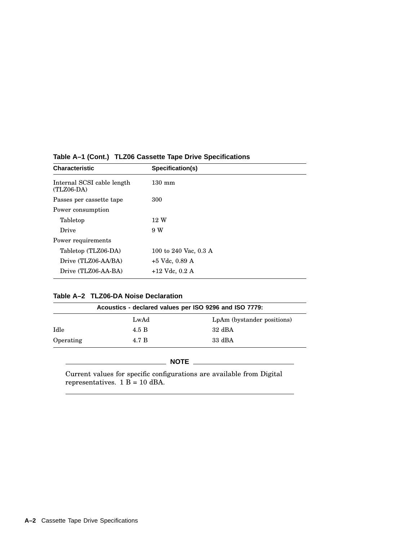| <b>Characteristic</b>                      | Specification(s)      |
|--------------------------------------------|-----------------------|
| Internal SCSI cable length<br>$(TLZ06-DA)$ | $130 \text{ mm}$      |
| Passes per cassette tape                   | 300                   |
| Power consumption                          |                       |
| Tabletop                                   | 12 W                  |
| Drive                                      | 9 W                   |
| Power requirements                         |                       |
| Tabletop (TLZ06-DA)                        | 100 to 240 Vac, 0.3 A |
| Drive (TLZ06-AA/BA)                        | $+5$ Vdc, 0.89 A      |
| Drive (TLZ06-AA-BA)                        | $+12$ Vdc, 0.2 A      |

### **Table A–1 (Cont.) TLZ06 Cassette Tape Drive Specifications**

### **Table A–2 TLZ06-DA Noise Declaration**

| Acoustics - declared values per ISO 9296 and ISO 7779: |       |                            |
|--------------------------------------------------------|-------|----------------------------|
|                                                        | LwAd  | LpAm (bystander positions) |
| Idle                                                   | 4.5 B | $32 \text{ dBA}$           |
| Operating                                              | 4.7 B | $33 \text{ dBA}$           |

Current values for specific configurations are available from Digital representatives.  $1 B = 10$  dBA.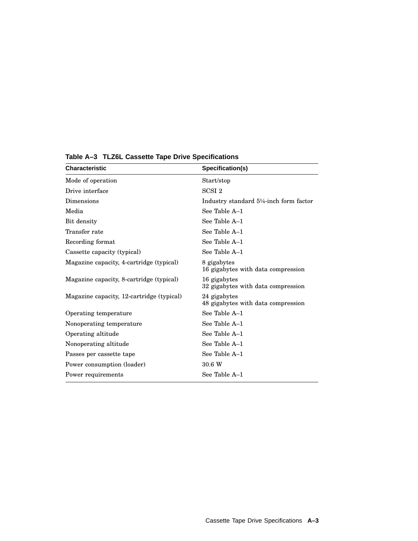| <b>Characteristic</b>                     | Specification(s)                                   |
|-------------------------------------------|----------------------------------------------------|
| Mode of operation                         | Start/stop                                         |
| Drive interface                           | SCSI <sub>2</sub>                                  |
| Dimensions                                | Industry standard 5¼-inch form factor              |
| Media                                     | See Table A-1                                      |
| Bit density                               | See Table A-1                                      |
| Transfer rate                             | See Table A-1                                      |
| Recording format                          | See Table A-1                                      |
| Cassette capacity (typical)               | See Table A-1                                      |
| Magazine capacity, 4-cartridge (typical)  | 8 gigabytes<br>16 gigabytes with data compression  |
| Magazine capacity, 8-cartridge (typical)  | 16 gigabytes<br>32 gigabytes with data compression |
| Magazine capacity, 12-cartridge (typical) | 24 gigabytes<br>48 gigabytes with data compression |
| Operating temperature                     | See Table A-1                                      |
| Nonoperating temperature                  | See Table A-1                                      |
| Operating altitude                        | See Table A-1                                      |
| Nonoperating altitude                     | See Table A-1                                      |
| Passes per cassette tape                  | See Table A-1                                      |
| Power consumption (loader)                | 30.6 W                                             |
| Power requirements                        | See Table A-1                                      |

**Table A–3 TLZ6L Cassette Tape Drive Specifications**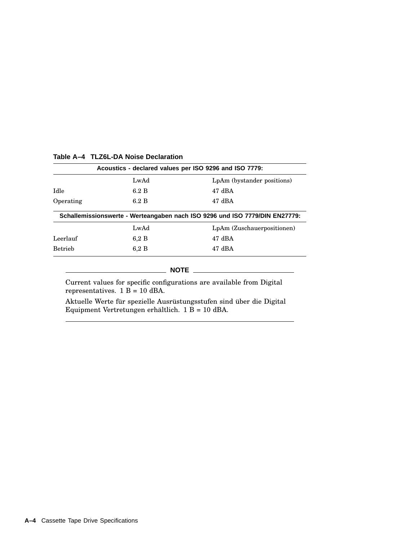| Acoustics - declared values per ISO 9296 and ISO 7779: |             |                                                                             |
|--------------------------------------------------------|-------------|-----------------------------------------------------------------------------|
|                                                        | LwAd        | LpAm (bystander positions)                                                  |
| Idle                                                   | 6.2 B       | $47 \text{ dBA}$                                                            |
| Operating                                              | 6.2 B       | $47 \text{ dBA}$                                                            |
|                                                        |             | Schallemissionswerte - Werteangaben nach ISO 9296 und ISO 7779/DIN EN27779: |
|                                                        | LwAd        | LpAm (Zuschauerpositionen)                                                  |
| Leerlauf                                               | 6.2 B       | $47 \text{ dBA}$                                                            |
| <b>Betrieb</b>                                         | 6.2 B       | $47 \text{ dBA}$                                                            |
|                                                        | <b>NOTE</b> |                                                                             |

### **Table A–4 TLZ6L-DA Noise Declaration**

Current values for specific configurations are available from Digital representatives. 1 B = 10 dBA.

Aktuelle Werte für spezielle Ausrüstungsstufen sind über die Digital Equipment Vertretungen erhältlich.  $1 \overline{B} = 10$  dBA.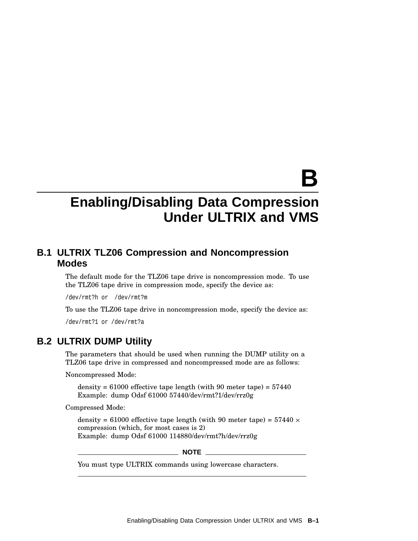# **B**

## **Enabling/Disabling Data Compression Under ULTRIX and VMS**

### **B.1 ULTRIX TLZ06 Compression and Noncompression Modes**

The default mode for the TLZ06 tape drive is noncompression mode. To use the TLZ06 tape drive in compression mode, specify the device as:

/dev/rmt?h or /dev/rmt?m

To use the TLZ06 tape drive in noncompression mode, specify the device as:

/dev/rmt?1 or /dev/rmt?a

### **B.2 ULTRIX DUMP Utility**

The parameters that should be used when running the DUMP utility on a TLZ06 tape drive in compressed and noncompressed mode are as follows:

Noncompressed Mode:

density =  $61000$  effective tape length (with 90 meter tape) =  $57440$ Example: dump Odsf 61000 57440/dev/rmt?1/dev/rrz0g

Compressed Mode:

density = 61000 effective tape length (with 90 meter tape) =  $57440 \times$ compression (which, for most cases is 2) Example: dump Odsf 61000 114880/dev/rmt?h/dev/rrz0g

**NOTE**

You must type ULTRIX commands using lowercase characters.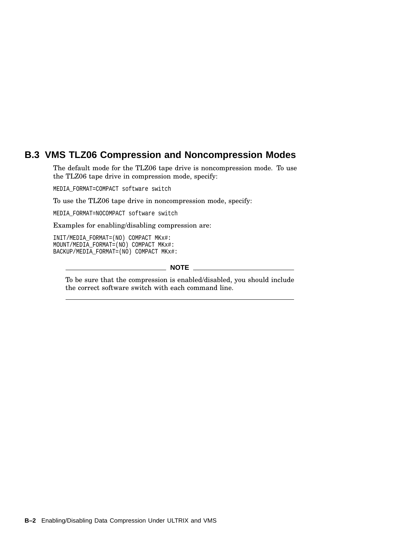### **B.3 VMS TLZ06 Compression and Noncompression Modes**

The default mode for the TLZ06 tape drive is noncompression mode. To use the TLZ06 tape drive in compression mode, specify:

MEDIA\_FORMAT=COMPACT software switch

To use the TLZ06 tape drive in noncompression mode, specify:

MEDIA\_FORMAT=NOCOMPACT software switch

Examples for enabling/disabling compression are:

INIT/MEDIA\_FORMAT=(NO) COMPACT MKx#: MOUNT/MEDIA\_FORMAT=(NO) COMPACT MKx#: BACKUP/MEDIA\_FORMAT=(NO) COMPACT MKx#:

### $\_$  NOTE  $\_$

To be sure that the compression is enabled/disabled, you should include the correct software switch with each command line.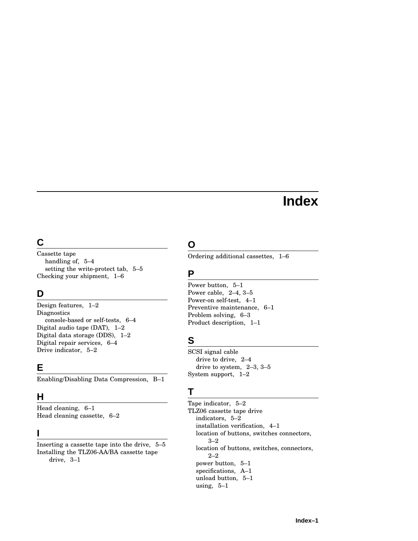# **Index**

### **C**

Cassette tape handling of, 5–4 setting the write-protect tab, 5–5 Checking your shipment, 1–6

### **D**

Design features, 1–2 **Diagnostics** console-based or self-tests, 6–4 Digital audio tape (DAT), 1–2 Digital data storage (DDS), 1–2 Digital repair services, 6–4 Drive indicator, 5–2

### **E**

Enabling/Disabling Data Compression, B–1

### **H**

Head cleaning, 6–1 Head cleaning cassette, 6–2

### **I**

Inserting a cassette tape into the drive, 5–5 Installing the TLZ06-AA/BA cassette tape drive, 3–1

### **O**

Ordering additional cassettes, 1–6

### **P**

Power button, 5–1 Power cable, 2–4, 3–5 Power-on self-test, 4–1 Preventive maintenance, 6–1 Problem solving, 6–3 Product description, 1–1

### **S**

SCSI signal cable drive to drive, 2–4 drive to system, 2–3, 3–5 System support, 1–2

### **T**

Tape indicator, 5–2 TLZ06 cassette tape drive indicators, 5–2 installation verification, 4–1 location of buttons, switches connectors, 3–2 location of buttons, switches, connectors, 2–2 power button, 5–1 specifications, A–1 unload button, 5–1 using, 5–1